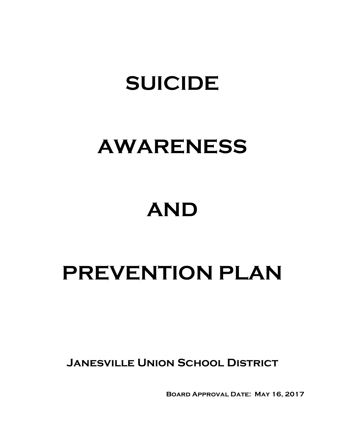# **SUICIDE**

# **AWARENESS**

# **AND**

# **PREVENTION PLAN**

**Janesville Union School District**

**Board Approval Date: May 16, 2017**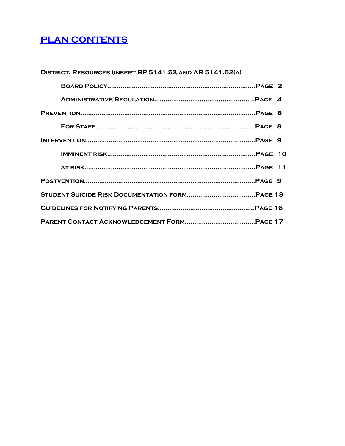# <span id="page-1-0"></span>**[PLAN CONTENTS](#page-1-0)**

| DISTRICT, RESOURCES (INSERT BP 5141.52 AND AR 5141.52(A) |  |
|----------------------------------------------------------|--|
|                                                          |  |
|                                                          |  |
|                                                          |  |
|                                                          |  |
|                                                          |  |
|                                                          |  |
|                                                          |  |
|                                                          |  |
|                                                          |  |
|                                                          |  |
|                                                          |  |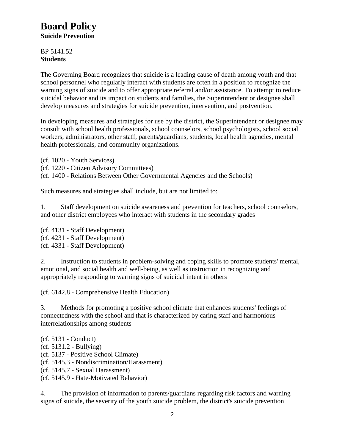# **Board Policy**

**Suicide Prevention**

BP 5141.52 **Students**

The Governing Board recognizes that suicide is a leading cause of death among youth and that school personnel who regularly interact with students are often in a position to recognize the warning signs of suicide and to offer appropriate referral and/or assistance. To attempt to reduce suicidal behavior and its impact on students and families, the Superintendent or designee shall develop measures and strategies for suicide prevention, intervention, and postvention.

In developing measures and strategies for use by the district, the Superintendent or designee may consult with school health professionals, school counselors, school psychologists, school social workers, administrators, other staff, parents/guardians, students, local health agencies, mental health professionals, and community organizations.

(cf. 1020 - Youth Services)

(cf. 1220 - Citizen Advisory Committees)

(cf. 1400 - Relations Between Other Governmental Agencies and the Schools)

Such measures and strategies shall include, but are not limited to:

1. Staff development on suicide awareness and prevention for teachers, school counselors, and other district employees who interact with students in the secondary grades

(cf. 4131 - Staff Development) (cf. 4231 - Staff Development) (cf. 4331 - Staff Development)

2. Instruction to students in problem-solving and coping skills to promote students' mental, emotional, and social health and well-being, as well as instruction in recognizing and appropriately responding to warning signs of suicidal intent in others

(cf. 6142.8 - Comprehensive Health Education)

3. Methods for promoting a positive school climate that enhances students' feelings of connectedness with the school and that is characterized by caring staff and harmonious interrelationships among students

(cf. 5131 - Conduct) (cf. 5131.2 - Bullying) (cf. 5137 - Positive School Climate) (cf. 5145.3 - Nondiscrimination/Harassment) (cf. 5145.7 - Sexual Harassment) (cf. 5145.9 - Hate-Motivated Behavior)

4. The provision of information to parents/guardians regarding risk factors and warning signs of suicide, the severity of the youth suicide problem, the district's suicide prevention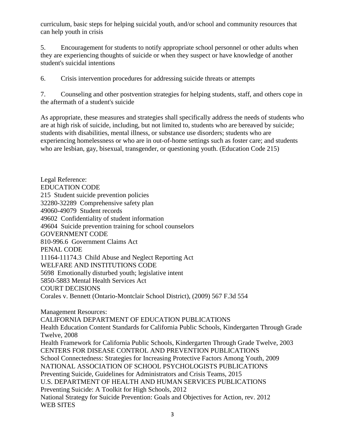curriculum, basic steps for helping suicidal youth, and/or school and community resources that can help youth in crisis

5. Encouragement for students to notify appropriate school personnel or other adults when they are experiencing thoughts of suicide or when they suspect or have knowledge of another student's suicidal intentions

6. Crisis intervention procedures for addressing suicide threats or attempts

7. Counseling and other postvention strategies for helping students, staff, and others cope in the aftermath of a student's suicide

As appropriate, these measures and strategies shall specifically address the needs of students who are at high risk of suicide, including, but not limited to, students who are bereaved by suicide; students with disabilities, mental illness, or substance use disorders; students who are experiencing homelessness or who are in out-of-home settings such as foster care; and students who are lesbian, gay, bisexual, transgender, or questioning youth. (Education Code 215)

Legal Reference: EDUCATION CODE 215 Student suicide prevention policies 32280-32289 Comprehensive safety plan 49060-49079 Student records 49602 Confidentiality of student information 49604 Suicide prevention training for school counselors GOVERNMENT CODE 810-996.6 Government Claims Act PENAL CODE 11164-11174.3 Child Abuse and Neglect Reporting Act WELFARE AND INSTITUTIONS CODE 5698 Emotionally disturbed youth; legislative intent 5850-5883 Mental Health Services Act COURT DECISIONS Corales v. Bennett (Ontario-Montclair School District), (2009) 567 F.3d 554 Management Resources: CALIFORNIA DEPARTMENT OF EDUCATION PUBLICATIONS Health Education Content Standards for California Public Schools, Kindergarten Through Grade Twelve, 2008 Health Framework for California Public Schools, Kindergarten Through Grade Twelve, 2003 CENTERS FOR DISEASE CONTROL AND PREVENTION PUBLICATIONS School Connectedness: Strategies for Increasing Protective Factors Among Youth, 2009 NATIONAL ASSOCIATION OF SCHOOL PSYCHOLOGISTS PUBLICATIONS Preventing Suicide, Guidelines for Administrators and Crisis Teams, 2015 U.S. DEPARTMENT OF HEALTH AND HUMAN SERVICES PUBLICATIONS Preventing Suicide: A Toolkit for High Schools, 2012 National Strategy for Suicide Prevention: Goals and Objectives for Action, rev. 2012 WEB SITES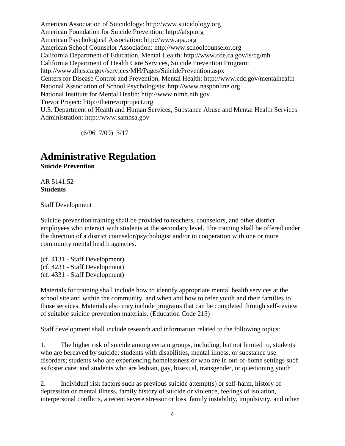American Association of Suicidology: http://www.suicidology.org American Foundation for Suicide Prevention: http://afsp.org American Psychological Association: http://www.apa.org American School Counselor Association: http://www.schoolcounselor.org California Department of Education, Mental Health: http://www.cde.ca.gov/ls/cg/mh California Department of Health Care Services, Suicide Prevention Program: http://www.dhcs.ca.gov/services/MH/Pages/SuicidePrevention.aspx Centers for Disease Control and Prevention, Mental Health: http://www.cdc.gov/mentalhealth National Association of School Psychologists: http://www.nasponline.org National Institute for Mental Health: http://www.nimh.nih.gov Trevor Project: http://thetrevorproject.org U.S. Department of Health and Human Services, Substance Abuse and Mental Health Services Administration: http://www.samhsa.gov

(6/96 7/09) 3/17

# **Administrative Regulation**

**Suicide Prevention**

AR 5141.52 **Students**

Staff Development

Suicide prevention training shall be provided to teachers, counselors, and other district employees who interact with students at the secondary level. The training shall be offered under the direction of a district counselor/psychologist and/or in cooperation with one or more community mental health agencies.

(cf. 4131 - Staff Development) (cf. 4231 - Staff Development) (cf. 4331 - Staff Development)

Materials for training shall include how to identify appropriate mental health services at the school site and within the community, and when and how to refer youth and their families to those services. Materials also may include programs that can be completed through self-review of suitable suicide prevention materials. (Education Code 215)

Staff development shall include research and information related to the following topics:

1. The higher risk of suicide among certain groups, including, but not limited to, students who are bereaved by suicide; students with disabilities, mental illness, or substance use disorders; students who are experiencing homelessness or who are in out-of-home settings such as foster care; and students who are lesbian, gay, bisexual, transgender, or questioning youth

2. Individual risk factors such as previous suicide attempt(s) or self-harm, history of depression or mental illness, family history of suicide or violence, feelings of isolation, interpersonal conflicts, a recent severe stressor or loss, family instability, impulsivity, and other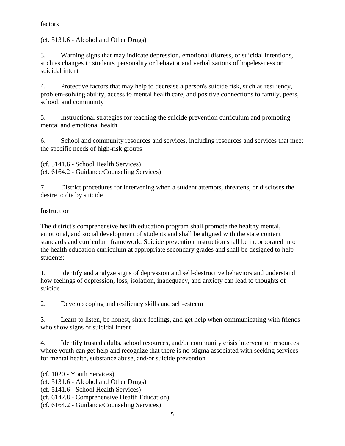### factors

(cf. 5131.6 - Alcohol and Other Drugs)

3. Warning signs that may indicate depression, emotional distress, or suicidal intentions, such as changes in students' personality or behavior and verbalizations of hopelessness or suicidal intent

4. Protective factors that may help to decrease a person's suicide risk, such as resiliency, problem-solving ability, access to mental health care, and positive connections to family, peers, school, and community

5. Instructional strategies for teaching the suicide prevention curriculum and promoting mental and emotional health

6. School and community resources and services, including resources and services that meet the specific needs of high-risk groups

(cf. 5141.6 - School Health Services) (cf. 6164.2 - Guidance/Counseling Services)

7. District procedures for intervening when a student attempts, threatens, or discloses the desire to die by suicide

## Instruction

The district's comprehensive health education program shall promote the healthy mental, emotional, and social development of students and shall be aligned with the state content standards and curriculum framework. Suicide prevention instruction shall be incorporated into the health education curriculum at appropriate secondary grades and shall be designed to help students:

1. Identify and analyze signs of depression and self-destructive behaviors and understand how feelings of depression, loss, isolation, inadequacy, and anxiety can lead to thoughts of suicide

2. Develop coping and resiliency skills and self-esteem

3. Learn to listen, be honest, share feelings, and get help when communicating with friends who show signs of suicidal intent

4. Identify trusted adults, school resources, and/or community crisis intervention resources where youth can get help and recognize that there is no stigma associated with seeking services for mental health, substance abuse, and/or suicide prevention

(cf. 1020 - Youth Services)

(cf. 5131.6 - Alcohol and Other Drugs)

(cf. 5141.6 - School Health Services)

(cf. 6142.8 - Comprehensive Health Education)

(cf. 6164.2 - Guidance/Counseling Services)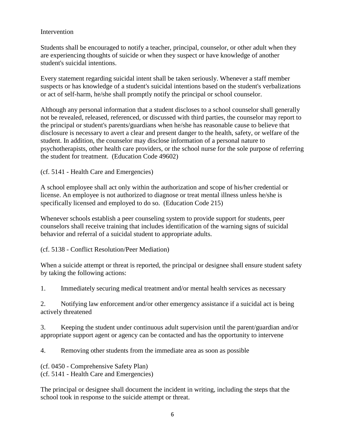#### **Intervention**

Students shall be encouraged to notify a teacher, principal, counselor, or other adult when they are experiencing thoughts of suicide or when they suspect or have knowledge of another student's suicidal intentions.

Every statement regarding suicidal intent shall be taken seriously. Whenever a staff member suspects or has knowledge of a student's suicidal intentions based on the student's verbalizations or act of self-harm, he/she shall promptly notify the principal or school counselor.

Although any personal information that a student discloses to a school counselor shall generally not be revealed, released, referenced, or discussed with third parties, the counselor may report to the principal or student's parents/guardians when he/she has reasonable cause to believe that disclosure is necessary to avert a clear and present danger to the health, safety, or welfare of the student. In addition, the counselor may disclose information of a personal nature to psychotherapists, other health care providers, or the school nurse for the sole purpose of referring the student for treatment. (Education Code 49602)

(cf. 5141 - Health Care and Emergencies)

A school employee shall act only within the authorization and scope of his/her credential or license. An employee is not authorized to diagnose or treat mental illness unless he/she is specifically licensed and employed to do so. (Education Code 215)

Whenever schools establish a peer counseling system to provide support for students, peer counselors shall receive training that includes identification of the warning signs of suicidal behavior and referral of a suicidal student to appropriate adults.

(cf. 5138 - Conflict Resolution/Peer Mediation)

When a suicide attempt or threat is reported, the principal or designee shall ensure student safety by taking the following actions:

1. Immediately securing medical treatment and/or mental health services as necessary

2. Notifying law enforcement and/or other emergency assistance if a suicidal act is being actively threatened

3. Keeping the student under continuous adult supervision until the parent/guardian and/or appropriate support agent or agency can be contacted and has the opportunity to intervene

4. Removing other students from the immediate area as soon as possible

(cf. 0450 - Comprehensive Safety Plan) (cf. 5141 - Health Care and Emergencies)

The principal or designee shall document the incident in writing, including the steps that the school took in response to the suicide attempt or threat.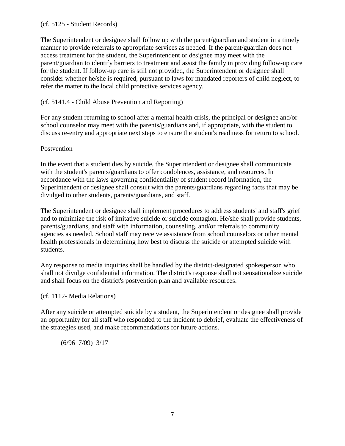#### (cf. 5125 - Student Records)

The Superintendent or designee shall follow up with the parent/guardian and student in a timely manner to provide referrals to appropriate services as needed. If the parent/guardian does not access treatment for the student, the Superintendent or designee may meet with the parent/guardian to identify barriers to treatment and assist the family in providing follow-up care for the student. If follow-up care is still not provided, the Superintendent or designee shall consider whether he/she is required, pursuant to laws for mandated reporters of child neglect, to refer the matter to the local child protective services agency.

### (cf. 5141.4 - Child Abuse Prevention and Reporting)

For any student returning to school after a mental health crisis, the principal or designee and/or school counselor may meet with the parents/guardians and, if appropriate, with the student to discuss re-entry and appropriate next steps to ensure the student's readiness for return to school.

#### Postvention

In the event that a student dies by suicide, the Superintendent or designee shall communicate with the student's parents/guardians to offer condolences, assistance, and resources. In accordance with the laws governing confidentiality of student record information, the Superintendent or designee shall consult with the parents/guardians regarding facts that may be divulged to other students, parents/guardians, and staff.

The Superintendent or designee shall implement procedures to address students' and staff's grief and to minimize the risk of imitative suicide or suicide contagion. He/she shall provide students, parents/guardians, and staff with information, counseling, and/or referrals to community agencies as needed. School staff may receive assistance from school counselors or other mental health professionals in determining how best to discuss the suicide or attempted suicide with students.

Any response to media inquiries shall be handled by the district-designated spokesperson who shall not divulge confidential information. The district's response shall not sensationalize suicide and shall focus on the district's postvention plan and available resources.

#### (cf. 1112- Media Relations)

After any suicide or attempted suicide by a student, the Superintendent or designee shall provide an opportunity for all staff who responded to the incident to debrief, evaluate the effectiveness of the strategies used, and make recommendations for future actions.

(6/96 7/09) 3/17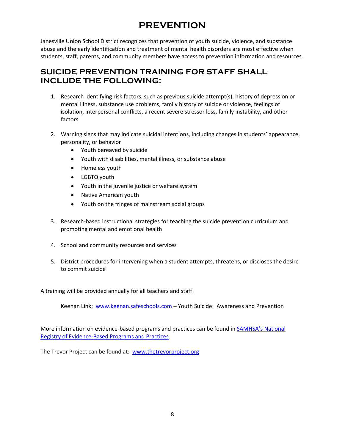# **PREVENTION**

Janesville Union School District recognizes that prevention of youth suicide, violence, and substance abuse and the early identification and treatment of mental health disorders are most effective when students, staff, parents, and community members have access to prevention information and resources.

## **SUICIDE PREVENTION TRAINING FOR STAFF SHALL INCLUDE THE FOLLOWING:**

- 1. Research identifying risk factors, such as previous suicide attempt(s), history of depression or mental illness, substance use problems, family history of suicide or violence, feelings of isolation, interpersonal conflicts, a recent severe stressor loss, family instability, and other factors
- 2. Warning signs that may indicate suicidal intentions, including changes in students' appearance, personality, or behavior
	- Youth bereaved by suicide
	- Youth with disabilities, mental illness, or substance abuse
	- Homeless youth
	- LGBTQ youth
	- Youth in the juvenile justice or welfare system
	- Native American youth
	- Youth on the fringes of mainstream social groups
- 3. Research-based instructional strategies for teaching the suicide prevention curriculum and promoting mental and emotional health
- 4. School and community resources and services
- 5. District procedures for intervening when a student attempts, threatens, or discloses the desire to commit suicide

A training will be provided annually for all teachers and staff:

Keenan Link: [www.keenan.safeschools.com](http://www.keenan.safeschools.com/) – Youth Suicide: Awareness and Prevention

More information on evidence-based programs and practices can be found in SAM[HSA's National](http://nrepp.samhsa.gov/)  [Registry of Evidence-Based Programs and Practices.](http://nrepp.samhsa.gov/)

The Trevor Project can be found at: [www.thetrevorproject.org](http://www.thetrevorproject.org/)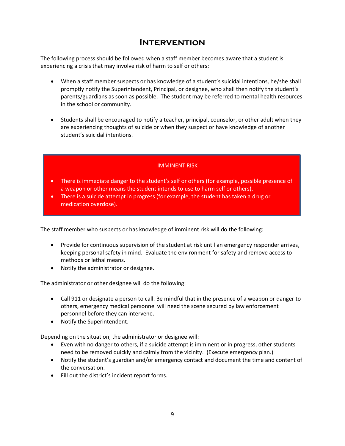## **Intervention**

The following process should be followed when a staff member becomes aware that a student is experiencing a crisis that may involve risk of harm to self or others:

- When a staff member suspects or has knowledge of a student's suicidal intentions, he/she shall promptly notify the Superintendent, Principal, or designee, who shall then notify the student's parents/guardians as soon as possible. The student may be referred to mental health resources in the school or community.
- Students shall be encouraged to notify a teacher, principal, counselor, or other adult when they are experiencing thoughts of suicide or when they suspect or have knowledge of another student's suicidal intentions.

#### IMMINENT RISK

- There is immediate danger to the student's self or others (for example, possible presence of a weapon or other means the student intends to use to harm self or others).
- There is a suicide attempt in progress (for example, the student has taken a drug or medication overdose).

The staff member who suspects or has knowledge of imminent risk will do the following:

- Provide for continuous supervision of the student at risk until an emergency responder arrives, keeping personal safety in mind. Evaluate the environment for safety and remove access to methods or lethal means.
- Notify the administrator or designee.

The administrator or other designee will do the following:

- Call 911 or designate a person to call. Be mindful that in the presence of a weapon or danger to others, emergency medical personnel will need the scene secured by law enforcement personnel before they can intervene.
- Notify the Superintendent.

Depending on the situation, the administrator or designee will:

- Even with no danger to others, if a suicide attempt is imminent or in progress, other students need to be removed quickly and calmly from the vicinity. (Execute emergency plan.)
- Notify the student's guardian and/or emergency contact and document the time and content of the conversation.
- Fill out the district's incident report forms.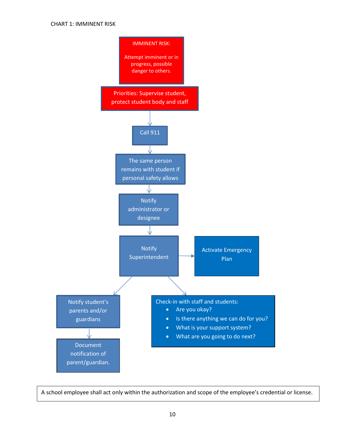

A school employee shall act only within the authorization and scope of the employee's credential or license.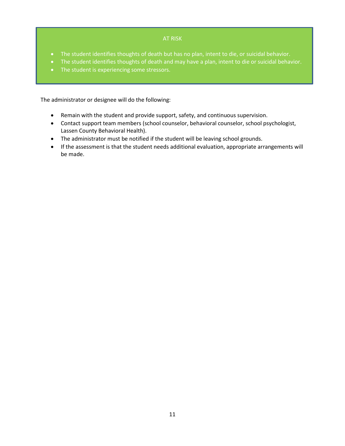#### AT RISK

- The student identifies thoughts of death but has no plan, intent to die, or suicidal behavior.
- The student identifies thoughts of death and may have a plan, intent to die or suicidal behavior.
- The student is experiencing some stressors.

The administrator or designee will do the following:

- Remain with the student and provide support, safety, and continuous supervision.
- Contact support team members (school counselor, behavioral counselor, school psychologist, Lassen County Behavioral Health).
- The administrator must be notified if the student will be leaving school grounds.
- If the assessment is that the student needs additional evaluation, appropriate arrangements will be made.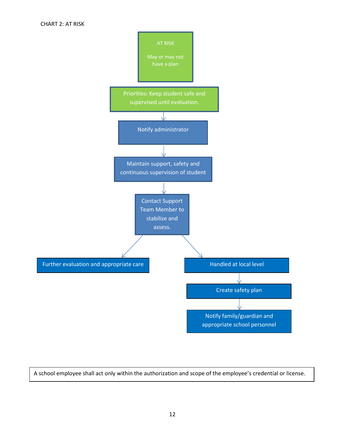

A school employee shall act only within the authorization and scope of the employee's credential or license.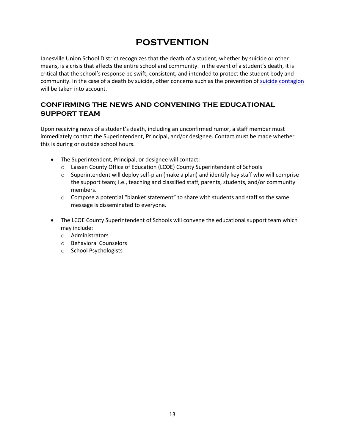## **POSTVENTION**

Janesville Union School District recognizes that the death of a student, whether by suicide or other means, is a crisis that affects the entire school and community. In the event of a student's death, it is critical that the school's response be swift, consistent, and intended to protect the student body and community. In the case of a death by suicide, other concerns such as the prevention o[f suicide contagion](http://www.nasponline.org/resources/principals/Suicide_Clusters_NASSP_Sept_%2009.pdf) will be taken into account.

## **confirming the news and convening the educational support team**

Upon receiving news of a student's death, including an unconfirmed rumor, a staff member must immediately contact the Superintendent, Principal, and/or designee. Contact must be made whether this is during or outside school hours.

- The Superintendent, Principal, or designee will contact:
	- o Lassen County Office of Education (LCOE) County Superintendent of Schools
	- $\circ$  Superintendent will deploy self-plan (make a plan) and identify key staff who will comprise the support team; i.e., teaching and classified staff, parents, students, and/or community members.
	- $\circ$  Compose a potential "blanket statement" to share with students and staff so the same message is disseminated to everyone.
- The LCOE County Superintendent of Schools will convene the educational support team which may include:
	- o Administrators
	- o Behavioral Counselors
	- o School Psychologists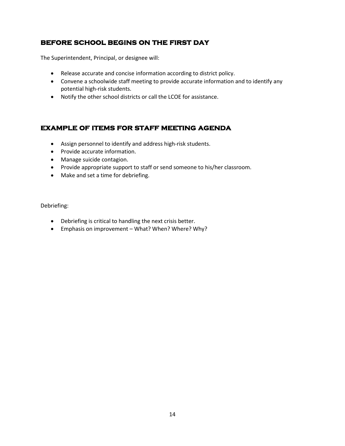## **before school begins on the first day**

The Superintendent, Principal, or designee will:

- Release accurate and concise information according to district policy.
- Convene a schoolwide staff meeting to provide accurate information and to identify any potential high-risk students.
- Notify the other school districts or call the LCOE for assistance.

## **example of items for staff meeting agenda**

- Assign personnel to identify and address high-risk students.
- Provide accurate information.
- Manage suicide contagion.
- Provide appropriate support to staff or send someone to his/her classroom.
- Make and set a time for debriefing.

Debriefing:

- Debriefing is critical to handling the next crisis better.
- Emphasis on improvement What? When? Where? Why?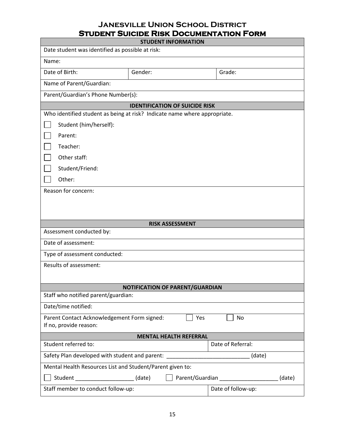## **Janesville Union School District Student Suicide Risk Documentation Form**

| <b>STUDENT INFORMATION</b>                                                                                                                    |                                       |                        |                   |  |  |
|-----------------------------------------------------------------------------------------------------------------------------------------------|---------------------------------------|------------------------|-------------------|--|--|
| Date student was identified as possible at risk:                                                                                              |                                       |                        |                   |  |  |
| Name:                                                                                                                                         |                                       |                        |                   |  |  |
| Date of Birth:                                                                                                                                | Gender:                               |                        | Grade:            |  |  |
| Name of Parent/Guardian:                                                                                                                      |                                       |                        |                   |  |  |
| Parent/Guardian's Phone Number(s):                                                                                                            |                                       |                        |                   |  |  |
|                                                                                                                                               | <b>IDENTIFICATION OF SUICIDE RISK</b> |                        |                   |  |  |
| Who identified student as being at risk? Indicate name where appropriate.                                                                     |                                       |                        |                   |  |  |
| Student (him/herself):                                                                                                                        |                                       |                        |                   |  |  |
| Parent:                                                                                                                                       |                                       |                        |                   |  |  |
| Teacher:                                                                                                                                      |                                       |                        |                   |  |  |
| Other staff:                                                                                                                                  |                                       |                        |                   |  |  |
| Student/Friend:                                                                                                                               |                                       |                        |                   |  |  |
| Other:                                                                                                                                        |                                       |                        |                   |  |  |
| Reason for concern:                                                                                                                           |                                       |                        |                   |  |  |
|                                                                                                                                               |                                       |                        |                   |  |  |
|                                                                                                                                               |                                       |                        |                   |  |  |
|                                                                                                                                               |                                       | <b>RISK ASSESSMENT</b> |                   |  |  |
| Assessment conducted by:                                                                                                                      |                                       |                        |                   |  |  |
| Date of assessment:                                                                                                                           |                                       |                        |                   |  |  |
| Type of assessment conducted:                                                                                                                 |                                       |                        |                   |  |  |
| Results of assessment:                                                                                                                        |                                       |                        |                   |  |  |
|                                                                                                                                               |                                       |                        |                   |  |  |
| NOTIFICATION OF PARENT/GUARDIAN                                                                                                               |                                       |                        |                   |  |  |
| Staff who notified parent/guardian:                                                                                                           |                                       |                        |                   |  |  |
| Date/time notified:                                                                                                                           |                                       |                        |                   |  |  |
| Parent Contact Acknowledgement Form signed:                                                                                                   |                                       | Yes                    | No                |  |  |
| If no, provide reason:<br><b>MENTAL HEALTH REFERRAL</b>                                                                                       |                                       |                        |                   |  |  |
| Student referred to:                                                                                                                          |                                       |                        | Date of Referral: |  |  |
|                                                                                                                                               |                                       |                        | (date)            |  |  |
| Safety Plan developed with student and parent: _________________________________<br>Mental Health Resources List and Student/Parent given to: |                                       |                        |                   |  |  |
| Student ___________________________ (date)<br>(date)                                                                                          |                                       |                        |                   |  |  |
|                                                                                                                                               |                                       |                        |                   |  |  |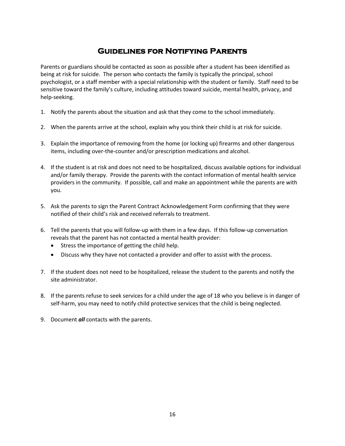## **Guidelines for Notifying Parents**

Parents or guardians should be contacted as soon as possible after a student has been identified as being at risk for suicide. The person who contacts the family is typically the principal, school psychologist, or a staff member with a special relationship with the student or family. Staff need to be sensitive toward the family's culture, including attitudes toward suicide, mental health, privacy, and help-seeking.

- 1. Notify the parents about the situation and ask that they come to the school immediately.
- 2. When the parents arrive at the school, explain why you think their child is at risk for suicide.
- 3. Explain the importance of removing from the home (or locking up) firearms and other dangerous items, including over-the-counter and/or prescription medications and alcohol.
- 4. If the student is at risk and does not need to be hospitalized, discuss available options for individual and/or family therapy. Provide the parents with the contact information of mental health service providers in the community. If possible, call and make an appointment while the parents are with you.
- 5. Ask the parents to sign the Parent Contract Acknowledgement Form confirming that they were notified of their child's risk and received referrals to treatment.
- 6. Tell the parents that you will follow-up with them in a few days. If this follow-up conversation reveals that the parent has not contacted a mental health provider:
	- Stress the importance of getting the child help.
	- Discuss why they have not contacted a provider and offer to assist with the process.
- 7. If the student does not need to be hospitalized, release the student to the parents and notify the site administrator.
- 8. If the parents refuse to seek services for a child under the age of 18 who you believe is in danger of self-harm, you may need to notify child protective services that the child is being neglected.
- 9. Document *all* contacts with the parents.